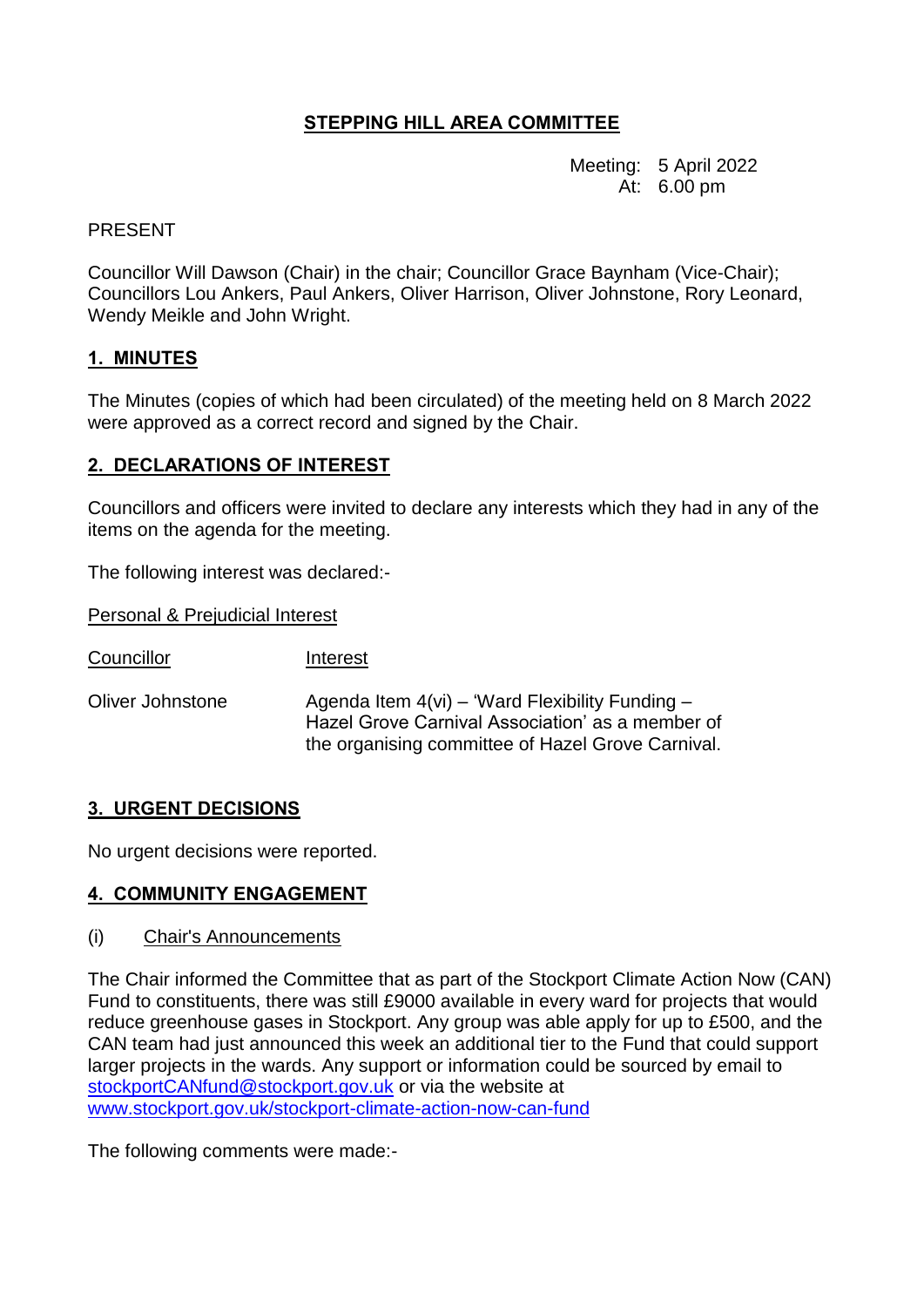# **STEPPING HILL AREA COMMITTEE**

Meeting: 5 April 2022 At: 6.00 pm

### PRESENT

Councillor Will Dawson (Chair) in the chair; Councillor Grace Baynham (Vice-Chair); Councillors Lou Ankers, Paul Ankers, Oliver Harrison, Oliver Johnstone, Rory Leonard, Wendy Meikle and John Wright.

## **1. MINUTES**

The Minutes (copies of which had been circulated) of the meeting held on 8 March 2022 were approved as a correct record and signed by the Chair.

## **2. DECLARATIONS OF INTEREST**

Councillors and officers were invited to declare any interests which they had in any of the items on the agenda for the meeting.

The following interest was declared:-

Personal & Prejudicial Interest

Councillor Interest

Oliver Johnstone  $Agenda$  Item  $4(vi) - 'Ward Flexibility Funding -$ Hazel Grove Carnival Association' as a member of the organising committee of Hazel Grove Carnival.

# **3. URGENT DECISIONS**

No urgent decisions were reported.

#### **4. COMMUNITY ENGAGEMENT**

#### (i) Chair's Announcements

The Chair informed the Committee that as part of the Stockport Climate Action Now (CAN) Fund to constituents, there was still £9000 available in every ward for projects that would reduce greenhouse gases in Stockport. Any group was able apply for up to £500, and the CAN team had just announced this week an additional tier to the Fund that could support larger projects in the wards. Any support or information could be sourced by email to [stockportCANfund@stockport.gov.uk](mailto:stockportCANfund@stockport.gov.uk) or via the website at [www.stockport.gov.uk/stockport-climate-action-now-can-fund](http://www.stockport.gov.uk/stockport-climate-action-now-can-fund) 

The following comments were made:-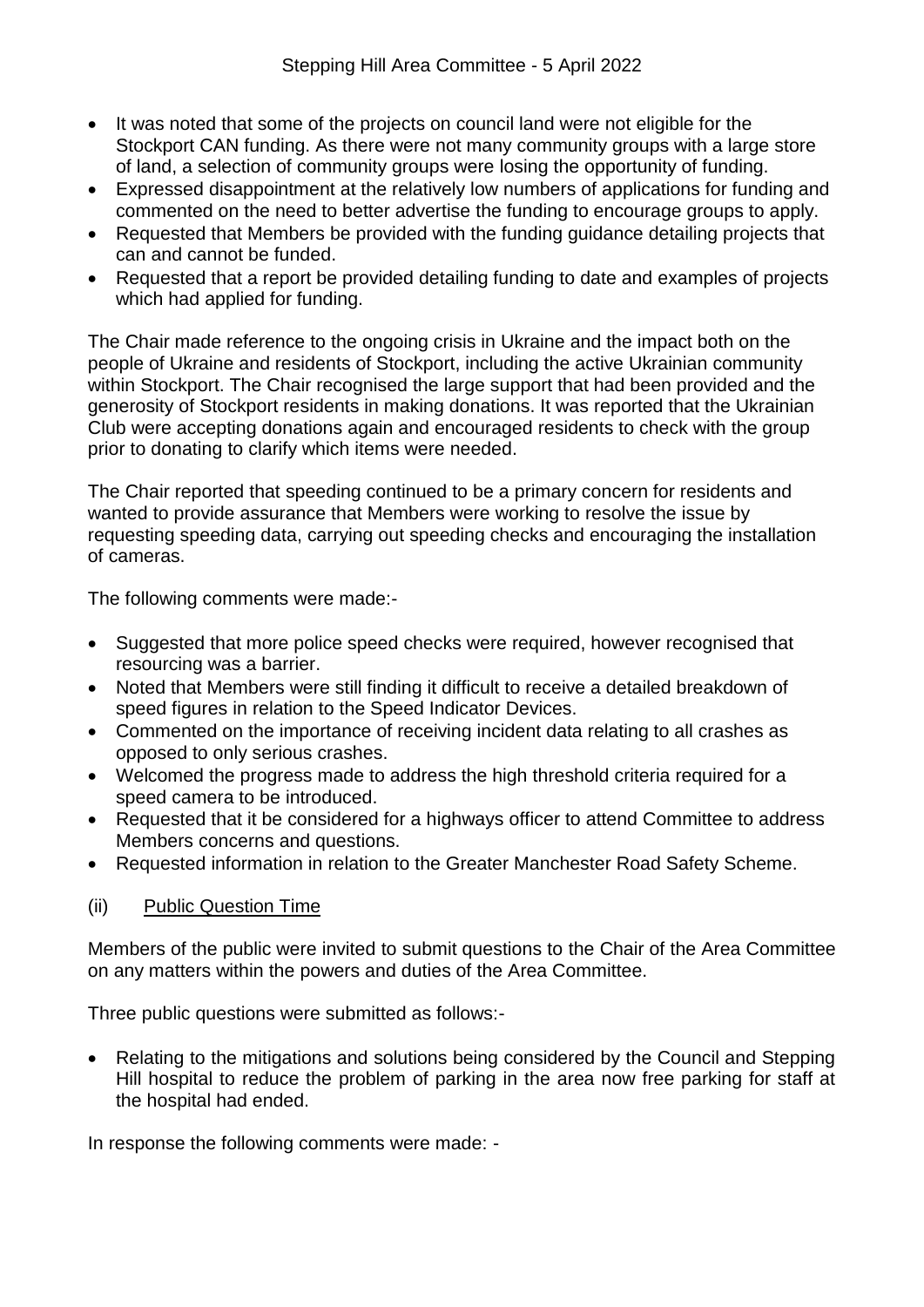- It was noted that some of the projects on council land were not eligible for the Stockport CAN funding. As there were not many community groups with a large store of land, a selection of community groups were losing the opportunity of funding.
- Expressed disappointment at the relatively low numbers of applications for funding and commented on the need to better advertise the funding to encourage groups to apply.
- Requested that Members be provided with the funding guidance detailing projects that can and cannot be funded.
- Requested that a report be provided detailing funding to date and examples of projects which had applied for funding.

The Chair made reference to the ongoing crisis in Ukraine and the impact both on the people of Ukraine and residents of Stockport, including the active Ukrainian community within Stockport. The Chair recognised the large support that had been provided and the generosity of Stockport residents in making donations. It was reported that the Ukrainian Club were accepting donations again and encouraged residents to check with the group prior to donating to clarify which items were needed.

The Chair reported that speeding continued to be a primary concern for residents and wanted to provide assurance that Members were working to resolve the issue by requesting speeding data, carrying out speeding checks and encouraging the installation of cameras.

The following comments were made:-

- Suggested that more police speed checks were required, however recognised that resourcing was a barrier.
- Noted that Members were still finding it difficult to receive a detailed breakdown of speed figures in relation to the Speed Indicator Devices.
- Commented on the importance of receiving incident data relating to all crashes as opposed to only serious crashes.
- Welcomed the progress made to address the high threshold criteria required for a speed camera to be introduced.
- Requested that it be considered for a highways officer to attend Committee to address Members concerns and questions.
- Requested information in relation to the Greater Manchester Road Safety Scheme.

#### (ii) Public Question Time

Members of the public were invited to submit questions to the Chair of the Area Committee on any matters within the powers and duties of the Area Committee.

Three public questions were submitted as follows:-

• Relating to the mitigations and solutions being considered by the Council and Stepping Hill hospital to reduce the problem of parking in the area now free parking for staff at the hospital had ended.

In response the following comments were made: -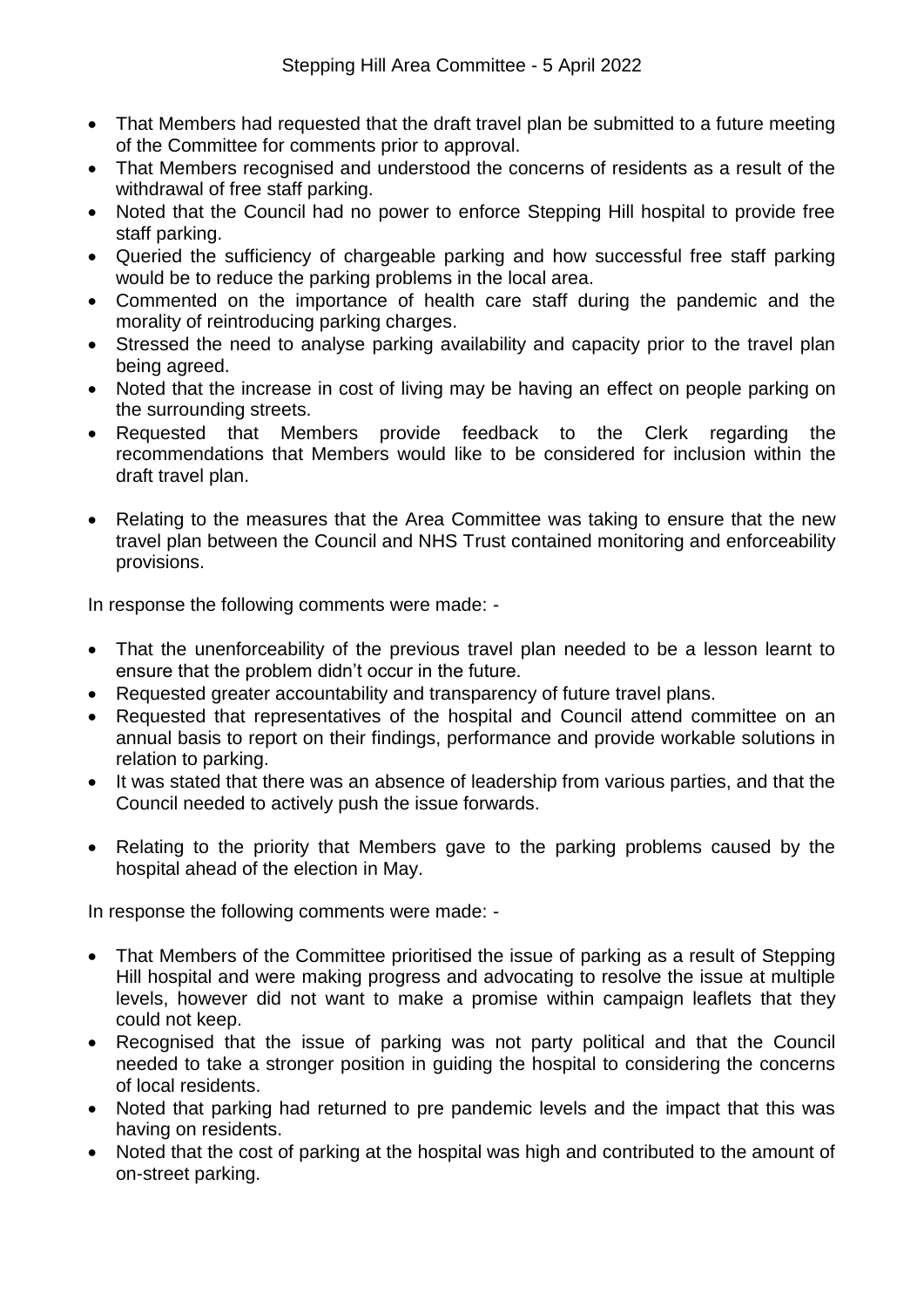- That Members had requested that the draft travel plan be submitted to a future meeting of the Committee for comments prior to approval.
- That Members recognised and understood the concerns of residents as a result of the withdrawal of free staff parking.
- Noted that the Council had no power to enforce Stepping Hill hospital to provide free staff parking.
- Queried the sufficiency of chargeable parking and how successful free staff parking would be to reduce the parking problems in the local area.
- Commented on the importance of health care staff during the pandemic and the morality of reintroducing parking charges.
- Stressed the need to analyse parking availability and capacity prior to the travel plan being agreed.
- Noted that the increase in cost of living may be having an effect on people parking on the surrounding streets.
- Requested that Members provide feedback to the Clerk regarding the recommendations that Members would like to be considered for inclusion within the draft travel plan.
- Relating to the measures that the Area Committee was taking to ensure that the new travel plan between the Council and NHS Trust contained monitoring and enforceability provisions.

In response the following comments were made: -

- That the unenforceability of the previous travel plan needed to be a lesson learnt to ensure that the problem didn't occur in the future.
- Requested greater accountability and transparency of future travel plans.
- Requested that representatives of the hospital and Council attend committee on an annual basis to report on their findings, performance and provide workable solutions in relation to parking.
- It was stated that there was an absence of leadership from various parties, and that the Council needed to actively push the issue forwards.
- Relating to the priority that Members gave to the parking problems caused by the hospital ahead of the election in May.

In response the following comments were made: -

- That Members of the Committee prioritised the issue of parking as a result of Stepping Hill hospital and were making progress and advocating to resolve the issue at multiple levels, however did not want to make a promise within campaign leaflets that they could not keep.
- Recognised that the issue of parking was not party political and that the Council needed to take a stronger position in guiding the hospital to considering the concerns of local residents.
- Noted that parking had returned to pre pandemic levels and the impact that this was having on residents.
- Noted that the cost of parking at the hospital was high and contributed to the amount of on-street parking.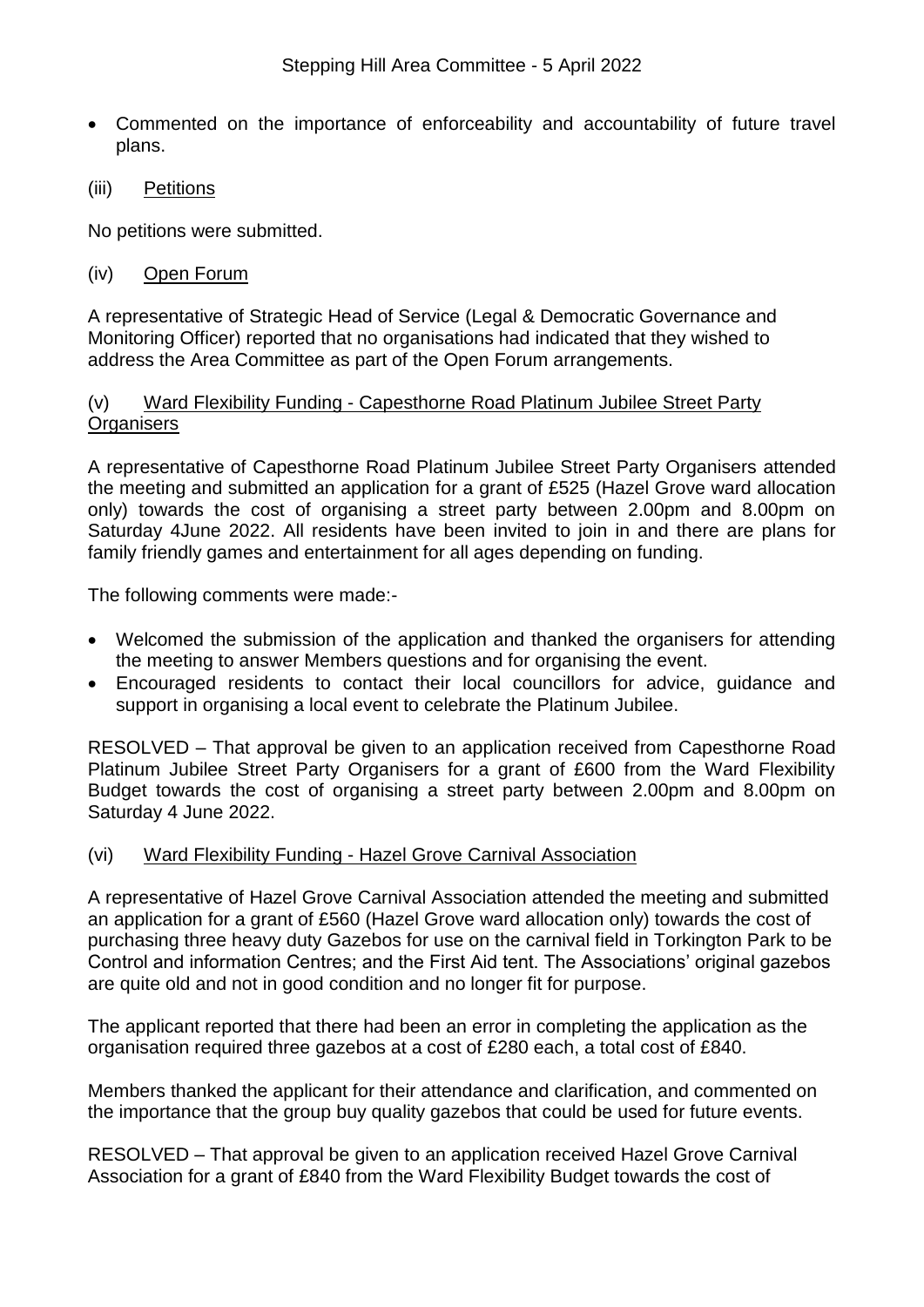- Commented on the importance of enforceability and accountability of future travel plans.
- (iii) Petitions

No petitions were submitted.

## (iv) Open Forum

A representative of Strategic Head of Service (Legal & Democratic Governance and Monitoring Officer) reported that no organisations had indicated that they wished to address the Area Committee as part of the Open Forum arrangements.

### (v) Ward Flexibility Funding - Capesthorne Road Platinum Jubilee Street Party **Organisers**

A representative of Capesthorne Road Platinum Jubilee Street Party Organisers attended the meeting and submitted an application for a grant of £525 (Hazel Grove ward allocation only) towards the cost of organising a street party between 2.00pm and 8.00pm on Saturday 4June 2022. All residents have been invited to join in and there are plans for family friendly games and entertainment for all ages depending on funding.

The following comments were made:-

- Welcomed the submission of the application and thanked the organisers for attending the meeting to answer Members questions and for organising the event.
- Encouraged residents to contact their local councillors for advice, guidance and support in organising a local event to celebrate the Platinum Jubilee.

RESOLVED – That approval be given to an application received from Capesthorne Road Platinum Jubilee Street Party Organisers for a grant of £600 from the Ward Flexibility Budget towards the cost of organising a street party between 2.00pm and 8.00pm on Saturday 4 June 2022.

#### (vi) Ward Flexibility Funding - Hazel Grove Carnival Association

A representative of Hazel Grove Carnival Association attended the meeting and submitted an application for a grant of £560 (Hazel Grove ward allocation only) towards the cost of purchasing three heavy duty Gazebos for use on the carnival field in Torkington Park to be Control and information Centres; and the First Aid tent. The Associations' original gazebos are quite old and not in good condition and no longer fit for purpose.

The applicant reported that there had been an error in completing the application as the organisation required three gazebos at a cost of £280 each, a total cost of £840.

Members thanked the applicant for their attendance and clarification, and commented on the importance that the group buy quality gazebos that could be used for future events.

RESOLVED – That approval be given to an application received Hazel Grove Carnival Association for a grant of £840 from the Ward Flexibility Budget towards the cost of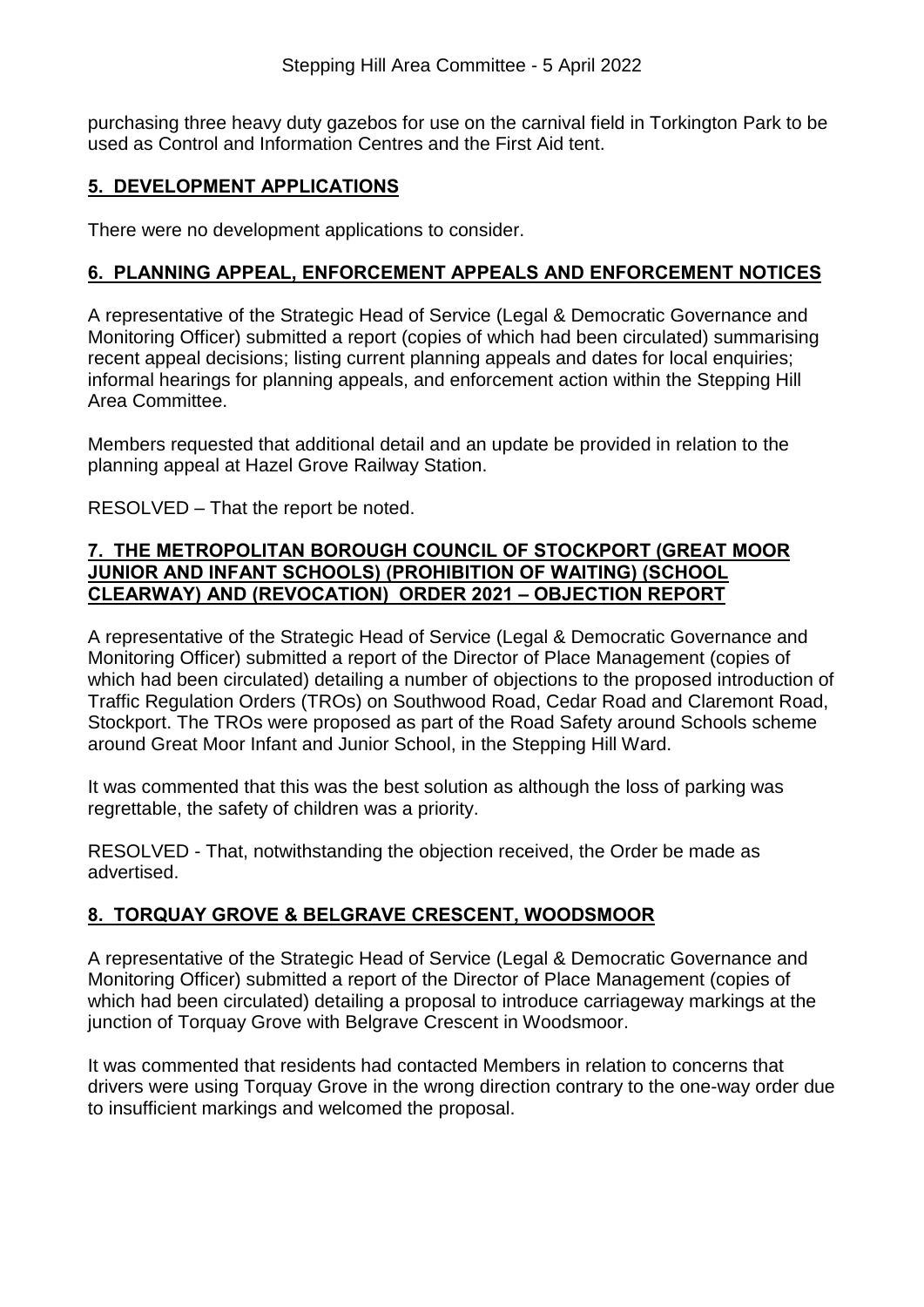purchasing three heavy duty gazebos for use on the carnival field in Torkington Park to be used as Control and Information Centres and the First Aid tent.

# **5. DEVELOPMENT APPLICATIONS**

There were no development applications to consider.

# **6. PLANNING APPEAL, ENFORCEMENT APPEALS AND ENFORCEMENT NOTICES**

A representative of the Strategic Head of Service (Legal & Democratic Governance and Monitoring Officer) submitted a report (copies of which had been circulated) summarising recent appeal decisions; listing current planning appeals and dates for local enquiries; informal hearings for planning appeals, and enforcement action within the Stepping Hill Area Committee.

Members requested that additional detail and an update be provided in relation to the planning appeal at Hazel Grove Railway Station.

RESOLVED – That the report be noted.

### **7. THE METROPOLITAN BOROUGH COUNCIL OF STOCKPORT (GREAT MOOR JUNIOR AND INFANT SCHOOLS) (PROHIBITION OF WAITING) (SCHOOL CLEARWAY) AND (REVOCATION) ORDER 2021 – OBJECTION REPORT**

A representative of the Strategic Head of Service (Legal & Democratic Governance and Monitoring Officer) submitted a report of the Director of Place Management (copies of which had been circulated) detailing a number of objections to the proposed introduction of Traffic Regulation Orders (TROs) on Southwood Road, Cedar Road and Claremont Road, Stockport. The TROs were proposed as part of the Road Safety around Schools scheme around Great Moor Infant and Junior School, in the Stepping Hill Ward.

It was commented that this was the best solution as although the loss of parking was regrettable, the safety of children was a priority.

RESOLVED - That, notwithstanding the objection received, the Order be made as advertised.

# **8. TORQUAY GROVE & BELGRAVE CRESCENT, WOODSMOOR**

A representative of the Strategic Head of Service (Legal & Democratic Governance and Monitoring Officer) submitted a report of the Director of Place Management (copies of which had been circulated) detailing a proposal to introduce carriageway markings at the junction of Torquay Grove with Belgrave Crescent in Woodsmoor.

It was commented that residents had contacted Members in relation to concerns that drivers were using Torquay Grove in the wrong direction contrary to the one-way order due to insufficient markings and welcomed the proposal.